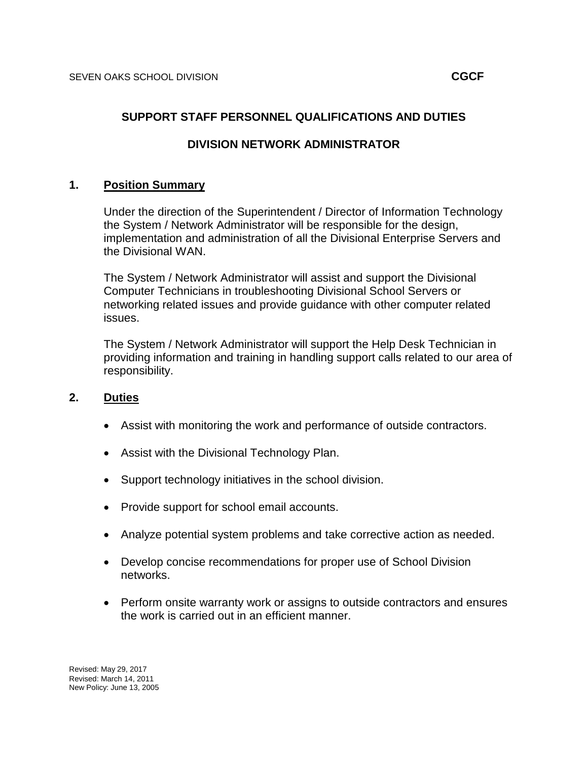### **SUPPORT STAFF PERSONNEL QUALIFICATIONS AND DUTIES**

# **DIVISION NETWORK ADMINISTRATOR**

### **1. Position Summary**

Under the direction of the Superintendent / Director of Information Technology the System / Network Administrator will be responsible for the design, implementation and administration of all the Divisional Enterprise Servers and the Divisional WAN.

The System / Network Administrator will assist and support the Divisional Computer Technicians in troubleshooting Divisional School Servers or networking related issues and provide guidance with other computer related issues.

The System / Network Administrator will support the Help Desk Technician in providing information and training in handling support calls related to our area of responsibility.

#### **2. Duties**

- Assist with monitoring the work and performance of outside contractors.
- Assist with the Divisional Technology Plan.
- Support technology initiatives in the school division.
- Provide support for school email accounts.
- Analyze potential system problems and take corrective action as needed.
- Develop concise recommendations for proper use of School Division networks.
- Perform onsite warranty work or assigns to outside contractors and ensures the work is carried out in an efficient manner.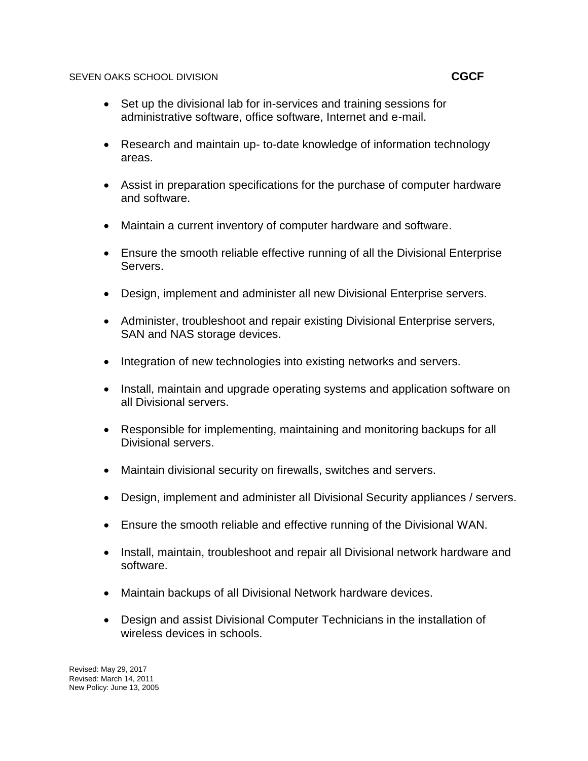### SEVEN OAKS SCHOOL DIVISION **CGCF**

- Set up the divisional lab for in-services and training sessions for administrative software, office software, Internet and e-mail.
- Research and maintain up- to-date knowledge of information technology areas.
- Assist in preparation specifications for the purchase of computer hardware and software.
- Maintain a current inventory of computer hardware and software.
- Ensure the smooth reliable effective running of all the Divisional Enterprise Servers.
- Design, implement and administer all new Divisional Enterprise servers.
- Administer, troubleshoot and repair existing Divisional Enterprise servers, SAN and NAS storage devices.
- Integration of new technologies into existing networks and servers.
- Install, maintain and upgrade operating systems and application software on all Divisional servers.
- Responsible for implementing, maintaining and monitoring backups for all Divisional servers.
- Maintain divisional security on firewalls, switches and servers.
- Design, implement and administer all Divisional Security appliances / servers.
- Ensure the smooth reliable and effective running of the Divisional WAN.
- Install, maintain, troubleshoot and repair all Divisional network hardware and software.
- Maintain backups of all Divisional Network hardware devices.
- Design and assist Divisional Computer Technicians in the installation of wireless devices in schools.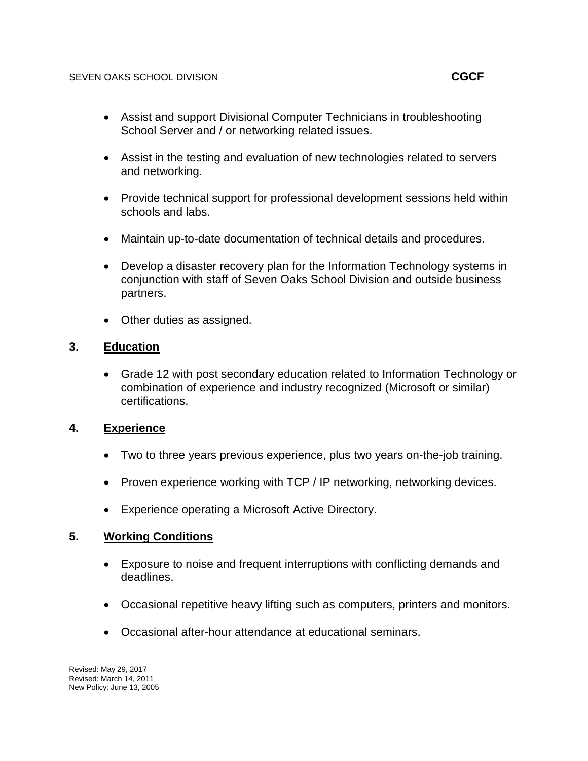- Assist in the testing and evaluation of new technologies related to servers and networking.
- Provide technical support for professional development sessions held within schools and labs.
- Maintain up-to-date documentation of technical details and procedures.
- Develop a disaster recovery plan for the Information Technology systems in conjunction with staff of Seven Oaks School Division and outside business partners.
- Other duties as assigned.

# **3. Education**

 Grade 12 with post secondary education related to Information Technology or combination of experience and industry recognized (Microsoft or similar) certifications.

# **4. Experience**

- Two to three years previous experience, plus two years on-the-job training.
- Proven experience working with TCP / IP networking, networking devices.
- Experience operating a Microsoft Active Directory.

# **5. Working Conditions**

- Exposure to noise and frequent interruptions with conflicting demands and deadlines.
- Occasional repetitive heavy lifting such as computers, printers and monitors.
- Occasional after-hour attendance at educational seminars.